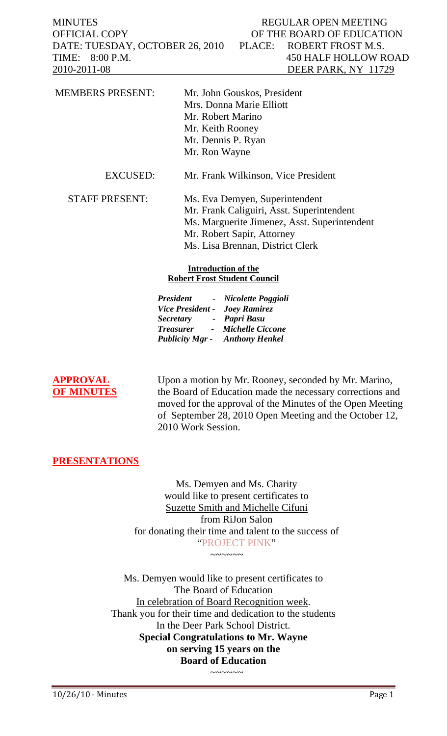# MINUTES REGULAR OPEN MEETING OFFICIAL COPY OF THE BOARD OF EDUCATION DATE: TUESDAY, OCTOBER 26, 2010 PLACE: ROBERT FROST M.S. TIME: 8:00 P.M. 450 HALF HOLLOW ROAD 2010-2011-08 DEER PARK, NY 11729

| <b>MEMBERS PRESENT:</b> | Mr. John Gouskos, President<br>Mrs. Donna Marie Elliott<br>Mr. Robert Marino<br>Mr. Keith Rooney<br>Mr. Dennis P. Ryan<br>Mr. Ron Wayne                                                       |
|-------------------------|-----------------------------------------------------------------------------------------------------------------------------------------------------------------------------------------------|
| <b>EXCUSED:</b>         | Mr. Frank Wilkinson, Vice President                                                                                                                                                           |
| <b>STAFF PRESENT:</b>   | Ms. Eva Demyen, Superintendent<br>Mr. Frank Caliguiri, Asst. Superintendent<br>Ms. Marguerite Jimenez, Asst. Superintendent<br>Mr. Robert Sapir, Attorney<br>Ms. Lisa Brennan, District Clerk |

#### **Introduction of the Robert Frost Student Council**

|                        | President - Nicolette Poggioli        |  |
|------------------------|---------------------------------------|--|
|                        | Vice President - Joey Ramirez         |  |
| Secretary - Papri Basu |                                       |  |
| <b>Treasurer</b>       | - Michelle Ciccone                    |  |
|                        | <b>Publicity Mgr -</b> Anthony Henkel |  |

**APPROVAL** Upon a motion by Mr. Rooney, seconded by Mr. Marino, **OF MINUTES** the Board of Education made the necessary corrections and moved for the approval of the Minutes of the Open Meeting of September 28, 2010 Open Meeting and the October 12, 2010 Work Session.

# **PRESENTATIONS**

Ms. Demyen and Ms. Charity would like to present certificates to Suzette Smith and Michelle Cifuni from RiJon Salon for donating their time and talent to the success of "PROJECT PINK"  $\sim$   $\sim$   $\sim$   $\sim$   $\sim$ 

Ms. Demyen would like to present certificates to The Board of Education In celebration of Board Recognition week. Thank you for their time and dedication to the students In the Deer Park School District. **Special Congratulations to Mr. Wayne on serving 15 years on the Board of Education** 

 $\sim\sim\sim\sim\sim\sim$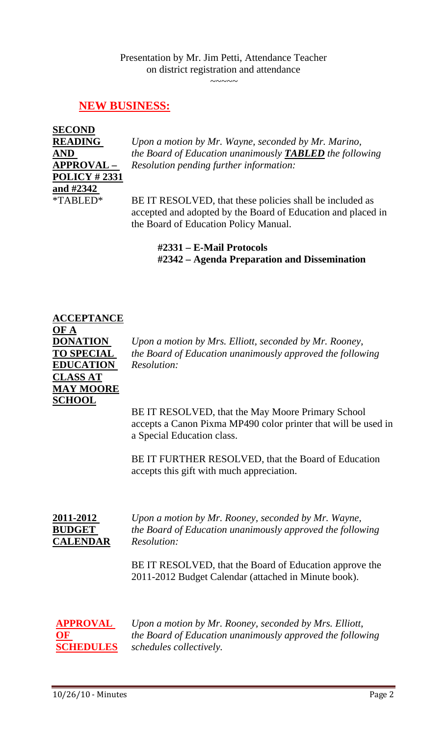~~~~~

# **NEW BUSINESS:**

**SECOND POLICY # 2331 and #2342** 

**READING** *Upon a motion by Mr. Wayne, seconded by Mr. Marino,* **AND** *the Board of Education unanimously TABLED the following* **APPROVAL –** *Resolution pending further information:* 

\*TABLED\* BE IT RESOLVED, that these policies shall be included as accepted and adopted by the Board of Education and placed in the Board of Education Policy Manual.

> **#2331 – E-Mail Protocols #2342 – Agenda Preparation and Dissemination**

# **ACCEPTANCE OF A EDUCATION** *Resolution:*  **CLASS AT MAY MOORE SCHOOL**

**DONATION** *Upon a motion by Mrs. Elliott, seconded by Mr. Rooney*, **TO SPECIAL** *the Board of Education unanimously approved the following*

> BE IT RESOLVED, that the May Moore Primary School accepts a Canon Pixma MP490 color printer that will be used in a Special Education class.

BE IT FURTHER RESOLVED, that the Board of Education accepts this gift with much appreciation.

# **CALENDAR** *Resolution:*

**2011-2012** *Upon a motion by Mr. Rooney, seconded by Mr. Wayne,*  **BUDGET** *the Board of Education unanimously approved the following*

> BE IT RESOLVED, that the Board of Education approve the 2011-2012 Budget Calendar (attached in Minute book).

**APPROVAL** *Upon a motion by Mr. Rooney, seconded by Mrs. Elliott*, **OF** *the Board of Education unanimously approved the following*  **SCHEDULES** *schedules collectively.*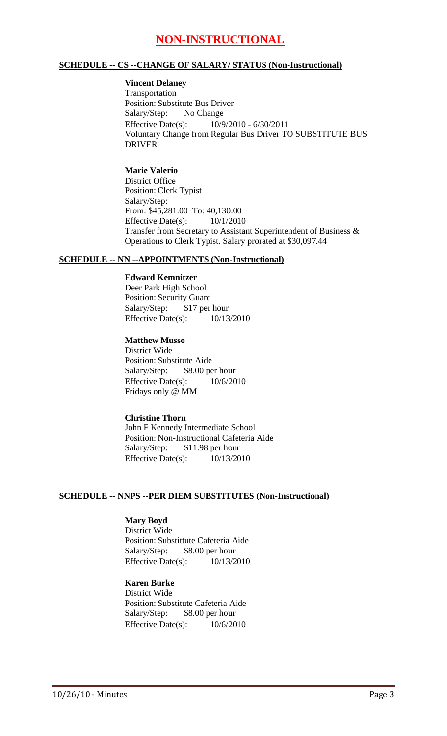# **NON-INSTRUCTIONAL**

#### **SCHEDULE -- CS --CHANGE OF SALARY/ STATUS (Non-Instructional)**

#### **Vincent Delaney**

Transportation Position: Substitute Bus Driver Salary/Step: No Change Effective Date(s): 10/9/2010 - 6/30/2011 Voluntary Change from Regular Bus Driver TO SUBSTITUTE BUS DRIVER

**Marie Valerio** District Office Position: Clerk Typist Salary/Step: From: \$45,281.00 To: 40,130.00 Effective Date(s):  $10/1/2010$ Transfer from Secretary to Assistant Superintendent of Business & Operations to Clerk Typist. Salary prorated at \$30,097.44

#### **SCHEDULE -- NN --APPOINTMENTS (Non-Instructional)**

#### **Edward Kemnitzer**

Deer Park High School Position: Security Guard Salary/Step: \$17 per hour Effective Date(s): 10/13/2010

#### **Matthew Musso**

District Wide Position: Substitute Aide Salary/Step: \$8.00 per hour Effective Date(s): 10/6/2010 Fridays only @ MM

#### **Christine Thorn**

John F Kennedy Intermediate School Position: Non-Instructional Cafeteria Aide Salary/Step: \$11.98 per hour Effective Date(s): 10/13/2010

#### **SCHEDULE -- NNPS --PER DIEM SUBSTITUTES (Non-Instructional)**

#### **Mary Boyd**

District Wide Position: Substittute Cafeteria Aide Salary/Step: \$8.00 per hour Effective Date(s): 10/13/2010

# **Karen Burke**

District Wide Position: Substitute Cafeteria Aide Salary/Step: \$8.00 per hour Effective Date(s): 10/6/2010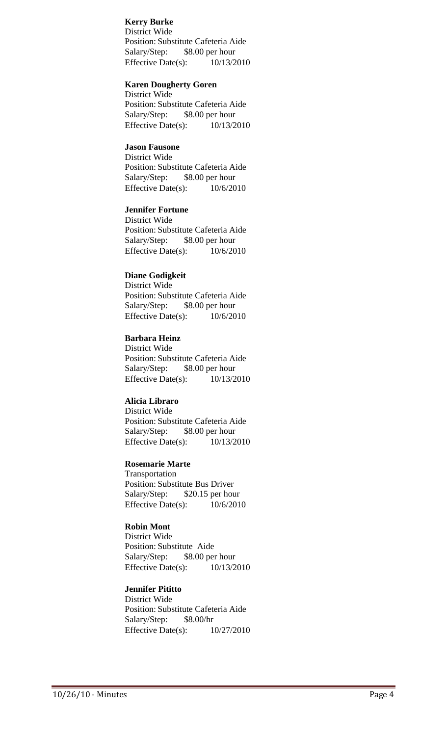#### **Kerry Burke**

District Wide Position: Substitute Cafeteria Aide Salary/Step: \$8.00 per hour Effective Date(s): 10/13/2010

#### **Karen Dougherty Goren**

District Wide Position: Substitute Cafeteria Aide Salary/Step: \$8.00 per hour Effective Date(s): 10/13/2010

#### **Jason Fausone**

District Wide Position: Substitute Cafeteria Aide Salary/Step: \$8.00 per hour Effective Date(s):  $10/6/2010$ 

#### **Jennifer Fortune**

District Wide Position: Substitute Cafeteria Aide Salary/Step: \$8.00 per hour Effective Date(s): 10/6/2010

#### **Diane Godigkeit**

District Wide Position: Substitute Cafeteria Aide Salary/Step: \$8.00 per hour Effective Date(s): 10/6/2010

# **Barbara Heinz**

District Wide Position: Substitute Cafeteria Aide Salary/Step: \$8.00 per hour Effective Date(s): 10/13/2010

# **Alicia Libraro**

District Wide Position: Substitute Cafeteria Aide Salary/Step: \$8.00 per hour Effective Date(s): 10/13/2010

#### **Rosemarie Marte**

Transportation Position: Substitute Bus Driver Salary/Step: \$20.15 per hour Effective Date(s): 10/6/2010

#### **Robin Mont**

District Wide Position: Substitute Aide Salary/Step: \$8.00 per hour Effective Date(s): 10/13/2010

#### **Jennifer Pititto**

District Wide Position: Substitute Cafeteria Aide Salary/Step: \$8.00/hr Effective Date(s): 10/27/2010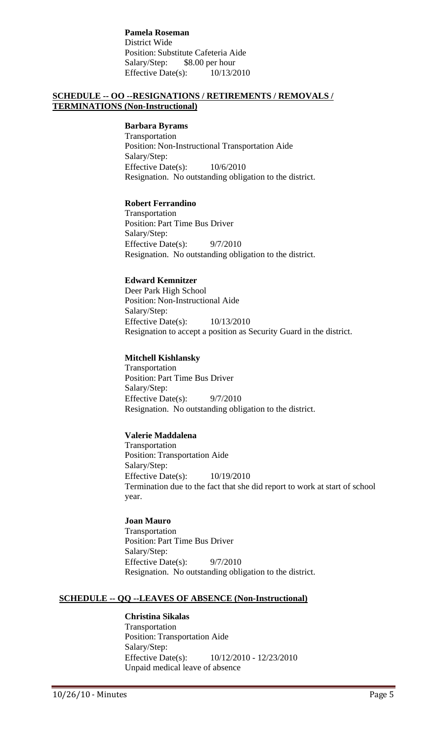**Pamela Roseman** District Wide Position: Substitute Cafeteria Aide Salary/Step: \$8.00 per hour Effective Date(s): 10/13/2010

#### **SCHEDULE -- OO --RESIGNATIONS / RETIREMENTS / REMOVALS / TERMINATIONS (Non-Instructional)**

#### **Barbara Byrams**

Transportation Position: Non-Instructional Transportation Aide Salary/Step: Effective Date(s):  $10/6/2010$ Resignation. No outstanding obligation to the district.

#### **Robert Ferrandino**

Transportation Position: Part Time Bus Driver Salary/Step: Effective Date(s):  $9/7/2010$ Resignation. No outstanding obligation to the district.

#### **Edward Kemnitzer**

Deer Park High School Position: Non-Instructional Aide Salary/Step: Effective Date(s): 10/13/2010 Resignation to accept a position as Security Guard in the district.

#### **Mitchell Kishlansky**

Transportation Position: Part Time Bus Driver Salary/Step: Effective Date(s): 9/7/2010 Resignation. No outstanding obligation to the district.

#### **Valerie Maddalena**

Transportation Position: Transportation Aide Salary/Step: Effective Date(s): 10/19/2010 Termination due to the fact that she did report to work at start of school year.

**Joan Mauro** Transportation Position: Part Time Bus Driver Salary/Step: Effective Date(s):  $9/7/2010$ Resignation. No outstanding obligation to the district.

#### **SCHEDULE -- QQ --LEAVES OF ABSENCE (Non-Instructional)**

#### **Christina Sikalas**

Transportation Position: Transportation Aide Salary/Step: Effective Date(s): 10/12/2010 - 12/23/2010 Unpaid medical leave of absence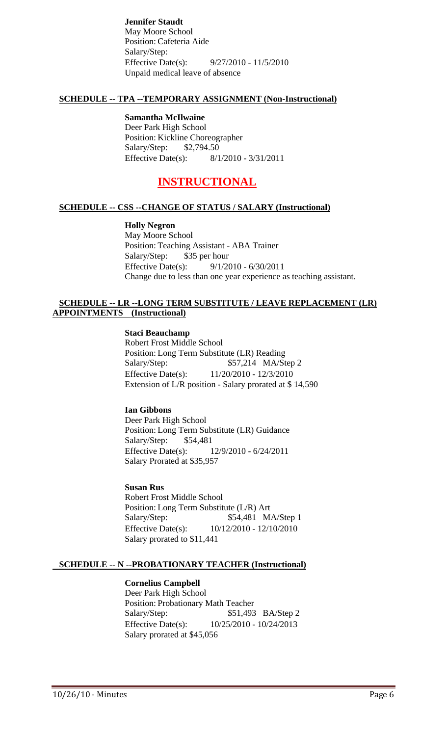**Jennifer Staudt** May Moore School Position: Cafeteria Aide Salary/Step: Effective Date(s): 9/27/2010 - 11/5/2010 Unpaid medical leave of absence

#### **SCHEDULE -- TPA --TEMPORARY ASSIGNMENT (Non-Instructional)**

#### **Samantha McIlwaine**

Deer Park High School Position: Kickline Choreographer Salary/Step: \$2,794.50 Effective Date(s): 8/1/2010 - 3/31/2011

# **INSTRUCTIONAL**

#### **SCHEDULE -- CSS --CHANGE OF STATUS / SALARY (Instructional)**

#### **Holly Negron**

May Moore School Position: Teaching Assistant - ABA Trainer Salary/Step: \$35 per hour Effective Date(s): 9/1/2010 - 6/30/2011 Change due to less than one year experience as teaching assistant.

#### **SCHEDULE -- LR --LONG TERM SUBSTITUTE / LEAVE REPLACEMENT (LR) APPOINTMENTS (Instructional)**

#### **Staci Beauchamp**

Robert Frost Middle School Position: Long Term Substitute (LR) Reading Salary/Step: \$57,214 MA/Step 2 Effective Date(s): 11/20/2010 - 12/3/2010 Extension of L/R position - Salary prorated at \$ 14,590

#### **Ian Gibbons**

Deer Park High School Position: Long Term Substitute (LR) Guidance Salary/Step: \$54,481 Effective Date(s): 12/9/2010 - 6/24/2011 Salary Prorated at \$35,957

#### **Susan Rus**

Robert Frost Middle School Position: Long Term Substitute (L/R) Art Salary/Step:  $$54,481$  MA/Step 1 Effective Date(s): 10/12/2010 - 12/10/2010 Salary prorated to \$11,441

#### **SCHEDULE -- N --PROBATIONARY TEACHER (Instructional)**

#### **Cornelius Campbell**

Deer Park High School Position: Probationary Math Teacher Salary/Step:  $$51,493$  BA/Step 2 Effective Date(s): 10/25/2010 - 10/24/2013 Salary prorated at \$45,056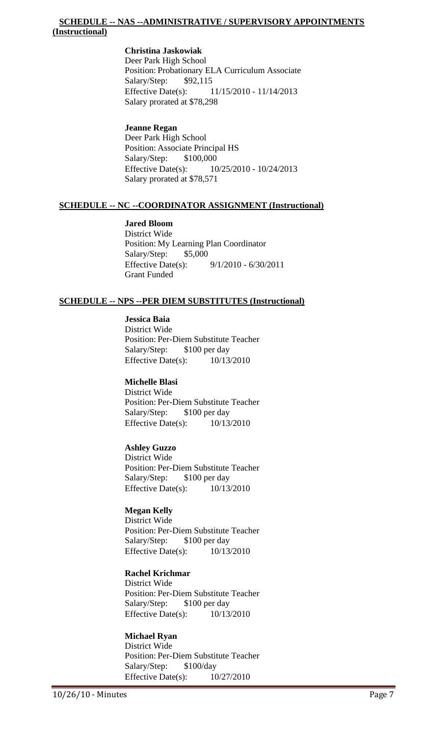#### **SCHEDULE -- NAS --ADMINISTRATIVE / SUPERVISORY APPOINTMENTS (Instructional)**

#### **Christina Jaskowiak**

Deer Park High School Position: Probationary ELA Curriculum Associate Salary/Step: \$92,115 Effective Date(s): 11/15/2010 - 11/14/2013 Salary prorated at \$78,298

#### **Jeanne Regan**

Deer Park High School Position: Associate Principal HS Salary/Step: \$100,000 Effective Date(s): 10/25/2010 - 10/24/2013 Salary prorated at \$78,571

#### **SCHEDULE -- NC --COORDINATOR ASSIGNMENT (Instructional)**

#### **Jared Bloom**

District Wide Position: My Learning Plan Coordinator Salary/Step: \$5,000 Effective Date(s): 9/1/2010 - 6/30/2011 Grant Funded

#### **SCHEDULE -- NPS --PER DIEM SUBSTITUTES (Instructional)**

**Jessica Baia** District Wide Position: Per-Diem Substitute Teacher Salary/Step: \$100 per day Effective Date(s): 10/13/2010

#### **Michelle Blasi** District Wide

Position: Per-Diem Substitute Teacher Salary/Step: \$100 per day Effective Date(s): 10/13/2010

#### **Ashley Guzzo**

District Wide Position: Per-Diem Substitute Teacher Salary/Step: \$100 per day Effective Date(s): 10/13/2010

#### **Megan Kelly**

District Wide Position: Per-Diem Substitute Teacher Salary/Step: \$100 per day Effective Date(s): 10/13/2010

#### **Rachel Krichmar**

District Wide Position: Per-Diem Substitute Teacher Salary/Step: \$100 per day Effective Date(s): 10/13/2010

#### **Michael Ryan**

District Wide Position: Per-Diem Substitute Teacher Salary/Step: \$100/day Effective Date(s): 10/27/2010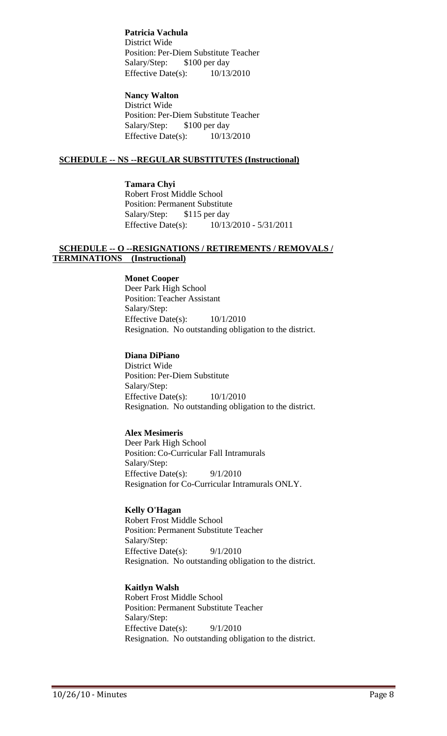**Patricia Vachula** District Wide Position: Per-Diem Substitute Teacher Salary/Step: \$100 per day Effective Date(s): 10/13/2010

**Nancy Walton** District Wide Position: Per-Diem Substitute Teacher Salary/Step: \$100 per day Effective Date(s): 10/13/2010

#### **SCHEDULE -- NS --REGULAR SUBSTITUTES (Instructional)**

**Tamara Chyi** Robert Frost Middle School Position: Permanent Substitute Salary/Step: \$115 per day Effective Date(s): 10/13/2010 - 5/31/2011

#### **SCHEDULE -- O --RESIGNATIONS / RETIREMENTS / REMOVALS / TERMINATIONS (Instructional)**

**Monet Cooper**

Deer Park High School Position: Teacher Assistant Salary/Step: Effective Date(s): 10/1/2010 Resignation. No outstanding obligation to the district.

#### **Diana DiPiano**

District Wide Position: Per-Diem Substitute Salary/Step: Effective Date(s): 10/1/2010 Resignation. No outstanding obligation to the district.

# **Alex Mesimeris**

Deer Park High School Position: Co-Curricular Fall Intramurals Salary/Step: Effective Date(s):  $9/1/2010$ Resignation for Co-Curricular Intramurals ONLY.

#### **Kelly O'Hagan**

Robert Frost Middle School Position: Permanent Substitute Teacher Salary/Step: Effective Date(s): 9/1/2010 Resignation. No outstanding obligation to the district.

#### **Kaitlyn Walsh**

Robert Frost Middle School Position: Permanent Substitute Teacher Salary/Step: Effective Date(s):  $9/1/2010$ Resignation. No outstanding obligation to the district.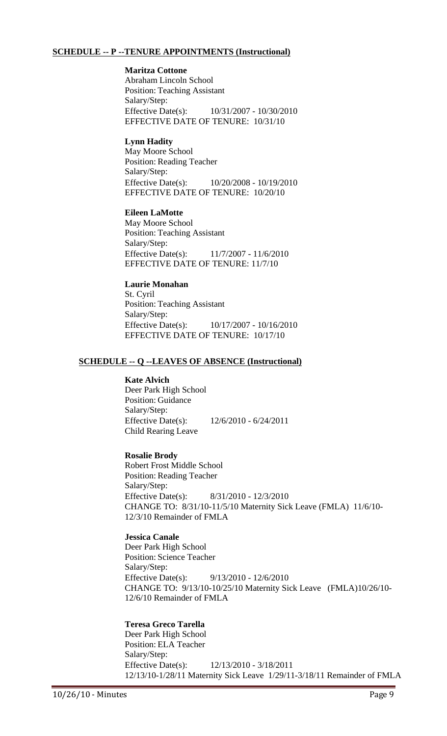#### **SCHEDULE -- P --TENURE APPOINTMENTS (Instructional)**

# **Maritza Cottone**

Abraham Lincoln School Position: Teaching Assistant Salary/Step: Effective Date(s): 10/31/2007 - 10/30/2010 EFFECTIVE DATE OF TENURE: 10/31/10

#### **Lynn Hadity**

May Moore School Position: Reading Teacher Salary/Step: Effective Date(s): 10/20/2008 - 10/19/2010 EFFECTIVE DATE OF TENURE: 10/20/10

#### **Eileen LaMotte**

May Moore School Position: Teaching Assistant Salary/Step: Effective Date(s): 11/7/2007 - 11/6/2010 EFFECTIVE DATE OF TENURE: 11/7/10

# **Laurie Monahan**

St. Cyril Position: Teaching Assistant Salary/Step: Effective Date(s): 10/17/2007 - 10/16/2010 EFFECTIVE DATE OF TENURE: 10/17/10

#### **SCHEDULE -- Q --LEAVES OF ABSENCE (Instructional)**

#### **Kate Alvich**

Deer Park High School Position: Guidance Salary/Step: Effective Date(s): 12/6/2010 - 6/24/2011 Child Rearing Leave

#### **Rosalie Brody**

Robert Frost Middle School Position: Reading Teacher Salary/Step: Effective Date(s): 8/31/2010 - 12/3/2010 CHANGE TO: 8/31/10-11/5/10 Maternity Sick Leave (FMLA) 11/6/10- 12/3/10 Remainder of FMLA

#### **Jessica Canale**

Deer Park High School Position: Science Teacher Salary/Step: Effective Date(s): 9/13/2010 - 12/6/2010 CHANGE TO: 9/13/10-10/25/10 Maternity Sick Leave (FMLA)10/26/10- 12/6/10 Remainder of FMLA

#### **Teresa Greco Tarella**

Deer Park High School Position: ELA Teacher Salary/Step: Effective Date(s): 12/13/2010 - 3/18/2011 12/13/10-1/28/11 Maternity Sick Leave 1/29/11-3/18/11 Remainder of FMLA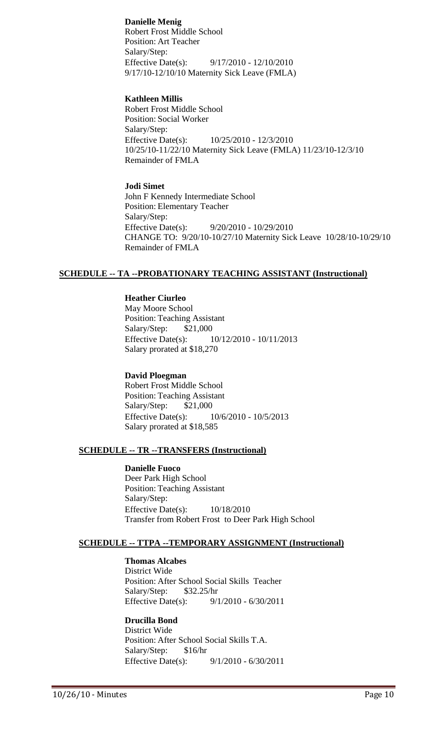**Danielle Menig**

Robert Frost Middle School Position: Art Teacher Salary/Step: Effective Date(s): 9/17/2010 - 12/10/2010 9/17/10-12/10/10 Maternity Sick Leave (FMLA)

#### **Kathleen Millis**

Robert Frost Middle School Position: Social Worker Salary/Step: Effective Date(s): 10/25/2010 - 12/3/2010 10/25/10-11/22/10 Maternity Sick Leave (FMLA) 11/23/10-12/3/10 Remainder of FMLA

#### **Jodi Simet**

John F Kennedy Intermediate School Position: Elementary Teacher Salary/Step: Effective Date(s): 9/20/2010 - 10/29/2010 CHANGE TO: 9/20/10-10/27/10 Maternity Sick Leave 10/28/10-10/29/10 Remainder of FMLA

#### **SCHEDULE -- TA --PROBATIONARY TEACHING ASSISTANT (Instructional)**

#### **Heather Ciurleo**

May Moore School Position: Teaching Assistant Salary/Step: \$21,000 Effective Date(s): 10/12/2010 - 10/11/2013 Salary prorated at \$18,270

#### **David Ploegman**

Robert Frost Middle School Position: Teaching Assistant Salary/Step: \$21,000 Effective Date(s): 10/6/2010 - 10/5/2013 Salary prorated at \$18,585

### **SCHEDULE -- TR --TRANSFERS (Instructional)**

**Danielle Fuoco** Deer Park High School Position: Teaching Assistant Salary/Step: Effective Date(s): 10/18/2010 Transfer from Robert Frost to Deer Park High School

#### **SCHEDULE -- TTPA --TEMPORARY ASSIGNMENT (Instructional)**

#### **Thomas Alcabes**

District Wide Position: After School Social Skills Teacher Salary/Step: \$32.25/hr Effective Date(s): 9/1/2010 - 6/30/2011

#### **Drucilla Bond**

District Wide Position: After School Social Skills T.A. Salary/Step: \$16/hr Effective Date(s): 9/1/2010 - 6/30/2011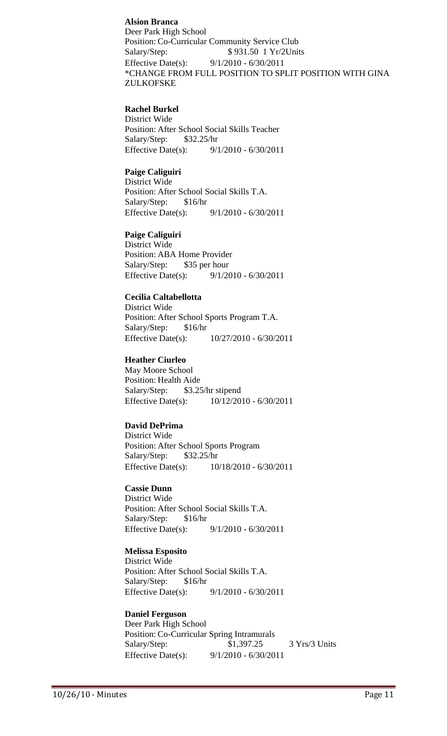#### **Alsion Branca**

Deer Park High School Position: Co-Curricular Community Service Club Salary/Step: \$931.50 1 Yr/2Units Effective Date(s): 9/1/2010 - 6/30/2011 \*CHANGE FROM FULL POSITION TO SPLIT POSITION WITH GINA **ZULKOFSKE** 

# **Rachel Burkel**

District Wide Position: After School Social Skills Teacher Salary/Step: \$32.25/hr Effective Date(s): 9/1/2010 - 6/30/2011

#### **Paige Caliguiri**

District Wide Position: After School Social Skills T.A. Salary/Step: \$16/hr Effective Date(s): 9/1/2010 - 6/30/2011

#### **Paige Caliguiri**

District Wide Position: ABA Home Provider Salary/Step: \$35 per hour Effective Date(s): 9/1/2010 - 6/30/2011

#### **Cecilia Caltabellotta**

District Wide Position: After School Sports Program T.A. Salary/Step: \$16/hr Effective Date(s): 10/27/2010 - 6/30/2011

#### **Heather Ciurleo**

May Moore School Position: Health Aide Salary/Step: \$3.25/hr stipend Effective Date(s): 10/12/2010 - 6/30/2011

#### **David DePrima**

District Wide Position: After School Sports Program Salary/Step: \$32.25/hr Effective Date(s): 10/18/2010 - 6/30/2011

#### **Cassie Dunn**

District Wide Position: After School Social Skills T.A. Salary/Step: \$16/hr Effective Date(s): 9/1/2010 - 6/30/2011

#### **Melissa Esposito**

District Wide Position: After School Social Skills T.A. Salary/Step: \$16/hr Effective Date(s): 9/1/2010 - 6/30/2011

#### **Daniel Ferguson**

Deer Park High School Position: Co-Curricular Spring Intramurals Salary/Step: \$1,397.25 3 Yrs/3 Units Effective Date(s): 9/1/2010 - 6/30/2011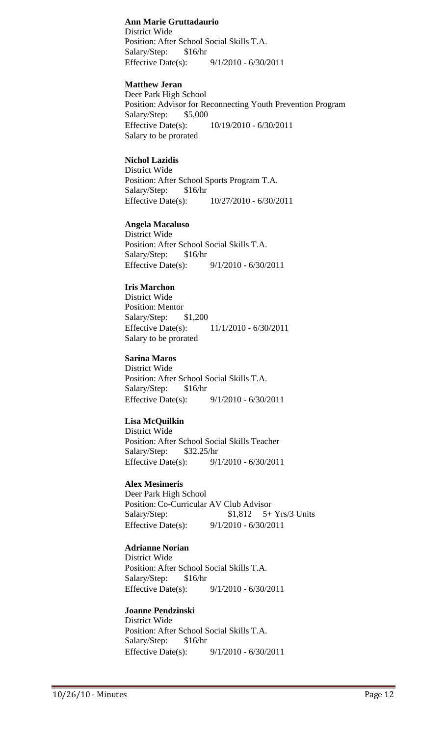#### **Ann Marie Gruttadaurio**

District Wide Position: After School Social Skills T.A. Salary/Step: \$16/hr Effective Date(s): 9/1/2010 - 6/30/2011

#### **Matthew Jeran**

Deer Park High School Position: Advisor for Reconnecting Youth Prevention Program Salary/Step: \$5,000 Effective Date(s): 10/19/2010 - 6/30/2011 Salary to be prorated

#### **Nichol Lazidis**

District Wide Position: After School Sports Program T.A. Salary/Step: \$16/hr Effective Date(s): 10/27/2010 - 6/30/2011

#### **Angela Macaluso**

District Wide Position: After School Social Skills T.A. Salary/Step: \$16/hr Effective Date(s): 9/1/2010 - 6/30/2011

#### **Iris Marchon**

District Wide Position: Mentor Salary/Step: \$1,200 Effective Date(s): 11/1/2010 - 6/30/2011 Salary to be prorated

#### **Sarina Maros**

District Wide Position: After School Social Skills T.A. Salary/Step: \$16/hr Effective Date(s): 9/1/2010 - 6/30/2011

#### **Lisa McQuilkin**

District Wide Position: After School Social Skills Teacher Salary/Step: \$32.25/hr Effective Date(s): 9/1/2010 - 6/30/2011

#### **Alex Mesimeris**

Deer Park High School Position: Co-Curricular AV Club Advisor Salary/Step:  $$1,812$  5+ Yrs/3 Units Effective Date(s): 9/1/2010 - 6/30/2011

#### **Adrianne Norian**

District Wide Position: After School Social Skills T.A. Salary/Step: \$16/hr Effective Date(s): 9/1/2010 - 6/30/2011

#### **Joanne Pendzinski**

District Wide Position: After School Social Skills T.A. Salary/Step: \$16/hr Effective Date(s): 9/1/2010 - 6/30/2011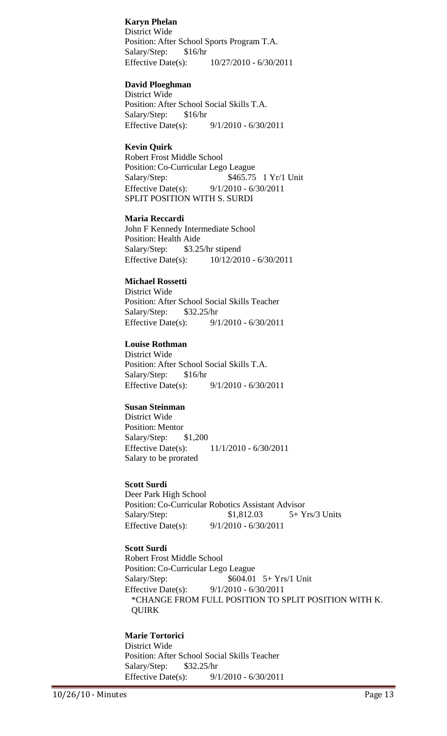#### **Karyn Phelan**

District Wide Position: After School Sports Program T.A. Salary/Step: \$16/hr Effective Date(s): 10/27/2010 - 6/30/2011

#### **David Ploeghman**

District Wide Position: After School Social Skills T.A. Salary/Step: \$16/hr Effective Date(s): 9/1/2010 - 6/30/2011

#### **Kevin Quirk**

Robert Frost Middle School Position: Co-Curricular Lego League Salary/Step: \$465.75 1 Yr/1 Unit Effective Date(s): 9/1/2010 - 6/30/2011 SPLIT POSITION WITH S. SURDI

#### **Maria Reccardi**

John F Kennedy Intermediate School Position: Health Aide Salary/Step: \$3.25/hr stipend Effective Date(s): 10/12/2010 - 6/30/2011

#### **Michael Rossetti**

District Wide Position: After School Social Skills Teacher Salary/Step: \$32.25/hr Effective Date(s): 9/1/2010 - 6/30/2011

#### **Louise Rothman**

District Wide Position: After School Social Skills T.A. Salary/Step: \$16/hr Effective Date(s): 9/1/2010 - 6/30/2011

#### **Susan Steinman**

District Wide Position: Mentor Salary/Step: \$1,200 Effective Date(s): 11/1/2010 - 6/30/2011 Salary to be prorated

#### **Scott Surdi**

Deer Park High School Position: Co-Curricular Robotics Assistant Advisor Salary/Step: \$1,812.03 5+ Yrs/3 Units Effective Date(s): 9/1/2010 - 6/30/2011

# **Scott Surdi**

Robert Frost Middle School Position: Co-Curricular Lego League Salary/Step: \$604.01 5+ Yrs/1 Unit Effective Date(s): 9/1/2010 - 6/30/2011 \*CHANGE FROM FULL POSITION TO SPLIT POSITION WITH K. QUIRK

#### **Marie Tortorici** District Wide Position: After School Social Skills Teacher Salary/Step: \$32.25/hr Effective Date(s): 9/1/2010 - 6/30/2011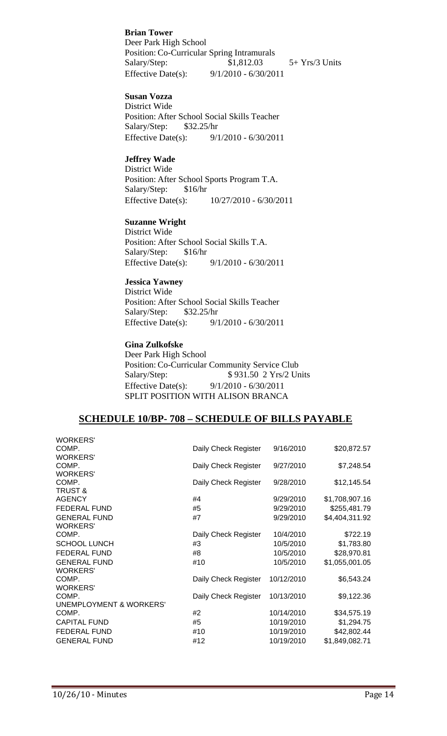**Brian Tower** Deer Park High School Position: Co-Curricular Spring Intramurals Salary/Step: \$1,812.03 5+ Yrs/3 Units Effective Date(s): 9/1/2010 - 6/30/2011

#### **Susan Vozza**

District Wide Position: After School Social Skills Teacher Salary/Step: \$32.25/hr Effective Date(s): 9/1/2010 - 6/30/2011

#### **Jeffrey Wade**

District Wide Position: After School Sports Program T.A. Salary/Step: \$16/hr Effective Date(s): 10/27/2010 - 6/30/2011

#### **Suzanne Wright**

District Wide Position: After School Social Skills T.A. Salary/Step: \$16/hr Effective Date(s): 9/1/2010 - 6/30/2011

#### **Jessica Yawney**

District Wide Position: After School Social Skills Teacher Salary/Step: \$32.25/hr Effective Date(s): 9/1/2010 - 6/30/2011

#### **Gina Zulkofske**

Deer Park High School Position: Co-Curricular Community Service Club Salary/Step: \$931.50 2 Yrs/2 Units Effective Date(s): 9/1/2010 - 6/30/2011 SPLIT POSITION WITH ALISON BRANCA

# **SCHEDULE 10/BP- 708 – SCHEDULE OF BILLS PAYABLE**

| <b>WORKERS'</b>                    |                      |            |                |
|------------------------------------|----------------------|------------|----------------|
| COMP.                              | Daily Check Register | 9/16/2010  | \$20,872.57    |
| <b>WORKERS'</b>                    |                      |            |                |
| COMP.                              | Daily Check Register | 9/27/2010  | \$7,248.54     |
| <b>WORKERS'</b>                    |                      |            |                |
| COMP.                              | Daily Check Register | 9/28/2010  | \$12,145.54    |
| TRUST &                            |                      |            |                |
| <b>AGENCY</b>                      | #4                   | 9/29/2010  | \$1,708,907.16 |
| <b>FEDERAL FUND</b>                | #5                   | 9/29/2010  | \$255,481.79   |
| <b>GENERAL FUND</b>                | #7                   | 9/29/2010  | \$4,404,311.92 |
| <b>WORKERS'</b>                    |                      |            |                |
| COMP.                              | Daily Check Register | 10/4/2010  | \$722.19       |
| <b>SCHOOL LUNCH</b>                | #3                   | 10/5/2010  | \$1,783.80     |
| <b>FEDERAL FUND</b>                | #8                   | 10/5/2010  | \$28,970.81    |
| <b>GENERAL FUND</b>                | #10                  | 10/5/2010  | \$1,055,001.05 |
| <b>WORKERS'</b>                    |                      |            |                |
| COMP.                              | Daily Check Register | 10/12/2010 | \$6,543.24     |
| <b>WORKERS'</b>                    |                      |            |                |
| COMP.                              | Daily Check Register | 10/13/2010 | \$9,122.36     |
| <b>UNEMPLOYMENT &amp; WORKERS'</b> |                      |            |                |
| COMP.                              | #2                   | 10/14/2010 | \$34,575.19    |
| <b>CAPITAL FUND</b>                | #5                   | 10/19/2010 | \$1,294.75     |
| FEDERAL FUND                       | #10                  | 10/19/2010 | \$42,802.44    |
| <b>GENERAL FUND</b>                | #12                  | 10/19/2010 | \$1,849,082.71 |
|                                    |                      |            |                |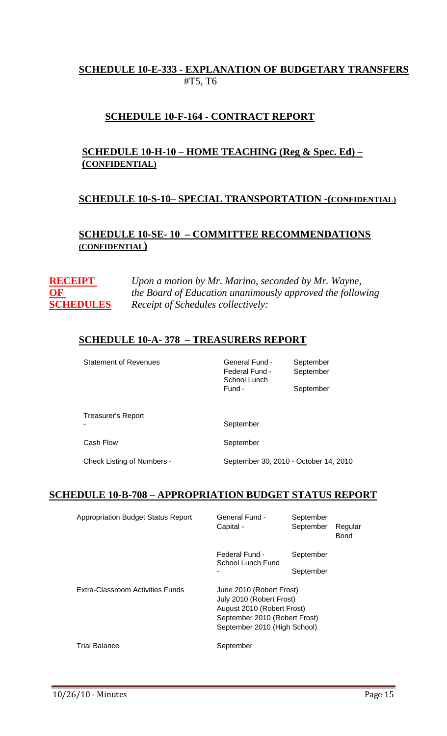# **SCHEDULE 10-E-333 - EXPLANATION OF BUDGETARY TRANSFERS** #T5, T6

# **SCHEDULE 10-F-164 - CONTRACT REPORT**

# **SCHEDULE 10-H-10 – HOME TEACHING (Reg & Spec. Ed) – (CONFIDENTIAL)**

# **SCHEDULE 10-S-10– SPECIAL TRANSPORTATION -(CONFIDENTIAL)**

# **SCHEDULE 10-SE- 10 – COMMITTEE RECOMMENDATIONS (CONFIDENTIAL)**

**RECEIPT** *Upon a motion by Mr. Marino, seconded by Mr. Wayne,* **OF** *the Board of Education unanimously approved the following*  **SCHEDULES** *Receipt of Schedules collectively:*

#### **SCHEDULE 10-A- 378 – TREASURERS REPORT**

| <b>Statement of Revenues</b>                | <b>General Fund -</b><br>Federal Fund -<br>School Lunch<br>Fund - | September<br>September<br>September |
|---------------------------------------------|-------------------------------------------------------------------|-------------------------------------|
| <b>Treasurer's Report</b><br>۰<br>Cash Flow | September<br>September                                            |                                     |
|                                             |                                                                   |                                     |

Check Listing of Numbers - September 30, 2010 - October 14, 2010

#### **SCHEDULE 10-B-708 – APPROPRIATION BUDGET STATUS REPORT**

| <b>Appropriation Budget Status Report</b> | General Fund -<br>Capital -                                                                                                                         | September<br>September | Regular<br>Bond |
|-------------------------------------------|-----------------------------------------------------------------------------------------------------------------------------------------------------|------------------------|-----------------|
|                                           | Federal Fund -<br>School Lunch Fund                                                                                                                 | September              |                 |
|                                           |                                                                                                                                                     | September              |                 |
| Extra-Classroom Activities Funds          | June 2010 (Robert Frost)<br>July 2010 (Robert Frost)<br>August 2010 (Robert Frost)<br>September 2010 (Robert Frost)<br>September 2010 (High School) |                        |                 |
| <b>Trial Balance</b>                      | September                                                                                                                                           |                        |                 |